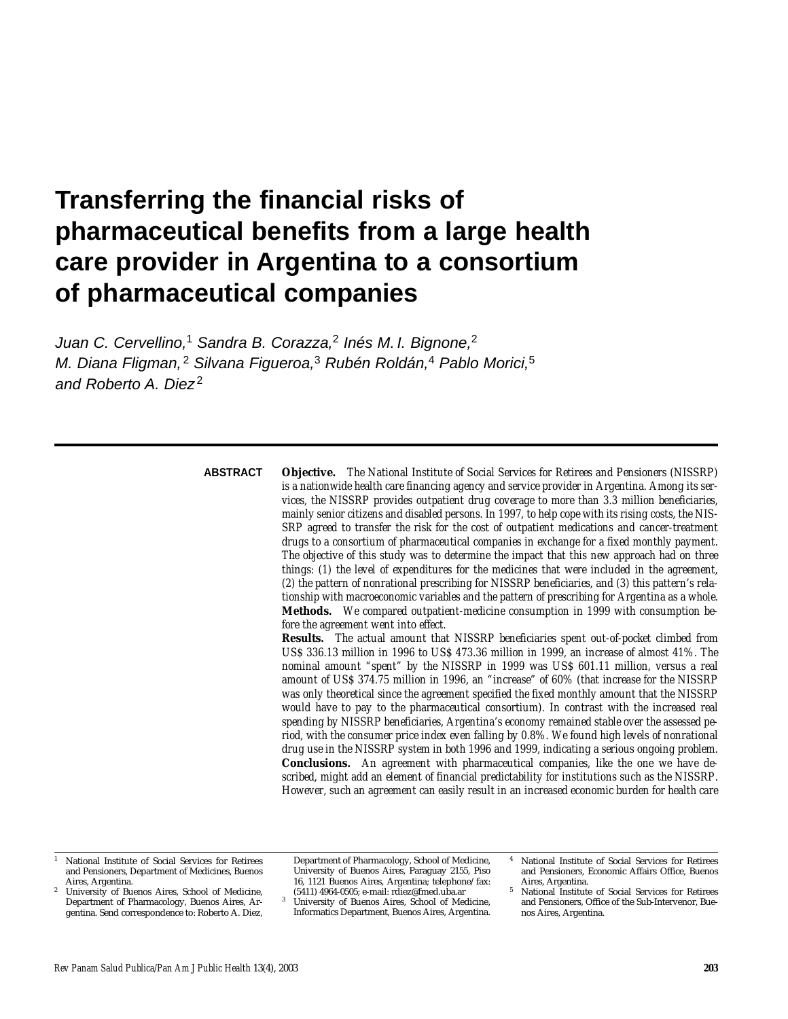# **Transferring the financial risks of pharmaceutical benefits from a large health care provider in Argentina to a consortium of pharmaceutical companies**

Juan C. Cervellino,<sup>1</sup> Sandra B. Corazza,<sup>2</sup> Inés M. I. Bignone,<sup>2</sup> M. Diana Fligman,<sup>2</sup> Silvana Figueroa,<sup>3</sup> Rubén Roldán,<sup>4</sup> Pablo Morici,<sup>5</sup> and Roberto A. Diez<sup>2</sup>

#### **ABSTRACT**

**Objective.** *The National Institute of Social Services for Retirees and Pensioners (NISSRP) is a nationwide health care financing agency and service provider in Argentina. Among its services, the NISSRP provides outpatient drug coverage to more than 3.3 million beneficiaries, mainly senior citizens and disabled persons. In 1997, to help cope with its rising costs, the NIS-SRP agreed to transfer the risk for the cost of outpatient medications and cancer-treatment drugs to a consortium of pharmaceutical companies in exchange for a fixed monthly payment. The objective of this study was to determine the impact that this new approach had on three things: (1) the level of expenditures for the medicines that were included in the agreement, (2) the pattern of nonrational prescribing for NISSRP beneficiaries, and (3) this pattern's relationship with macroeconomic variables and the pattern of prescribing for Argentina as a whole.*  **Methods.** *We compared outpatient-medicine consumption in 1999 with consumption before the agreement went into effect.* 

**Results.** *The actual amount that NISSRP beneficiaries spent out-of-pocket climbed from US\$ 336.13 million in 1996 to US\$ 473.36 million in 1999, an increase of almost 41%. The nominal amount "spent" by the NISSRP in 1999 was US\$ 601.11 million, versus a real amount of US\$ 374.75 million in 1996, an "increase" of 60% (that increase for the NISSRP was only theoretical since the agreement specified the fixed monthly amount that the NISSRP would have to pay to the pharmaceutical consortium). In contrast with the increased real spending by NISSRP beneficiaries, Argentina's economy remained stable over the assessed period, with the consumer price index even falling by 0.8%. We found high levels of nonrational drug use in the NISSRP system in both 1996 and 1999, indicating a serious ongoing problem.*  **Conclusions.** *An agreement with pharmaceutical companies, like the one we have described, might add an element of financial predictability for institutions such as the NISSRP. However, such an agreement can easily result in an increased economic burden for health care*

<sup>1</sup> National Institute of Social Services for Retirees and Pensioners, Department of Medicines, Buenos Aires, Argentina.

Department of Pharmacology, School of Medicine, University of Buenos Aires, Paraguay 2155, Piso 16, 1121 Buenos Aires, Argentina; telephone/fax: (5411) 4964-0505; e-mail: rdiez@fmed.uba.ar

<sup>4</sup> National Institute of Social Services for Retirees and Pensioners, Economic Affairs Office, Buenos

<sup>2</sup> University of Buenos Aires, School of Medicine, Department of Pharmacology, Buenos Aires, Argentina. Send correspondence to: Roberto A. Diez,

University of Buenos Aires, School of Medicine, Informatics Department, Buenos Aires, Argentina.

National Institute of Social Services for Retirees and Pensioners, Office of the Sub-Intervenor, Buenos Aires, Argentina.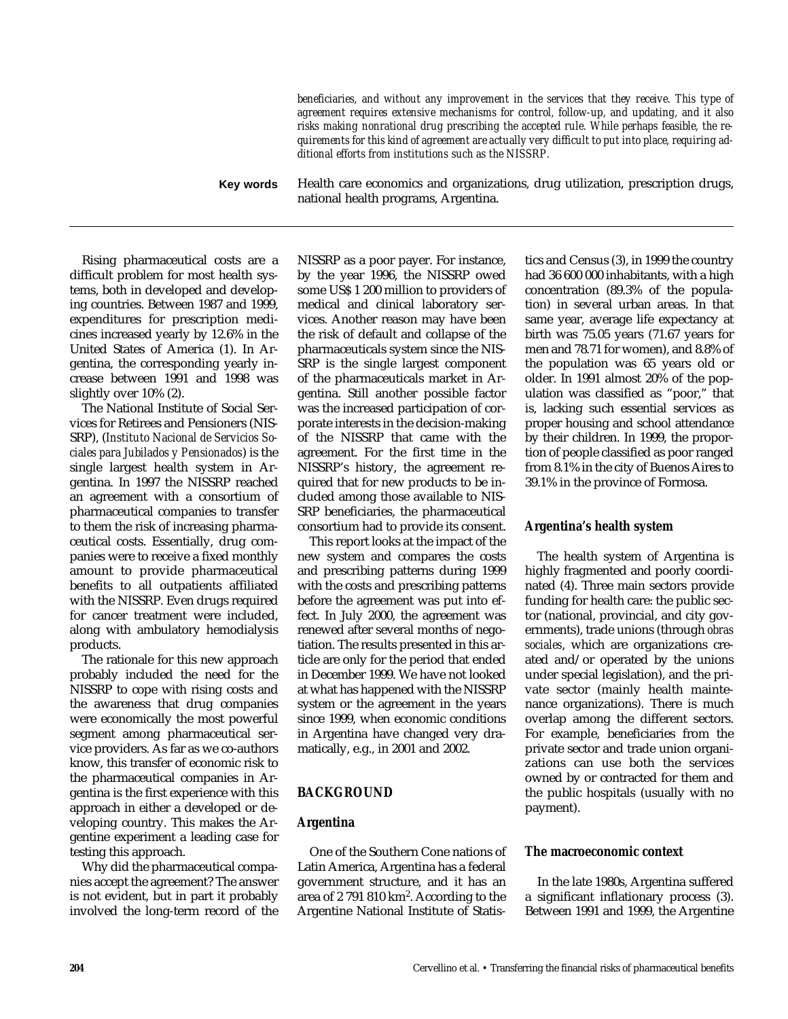|           | beneficiaries, and without any improvement in the services that they receive. This type of<br>agreement requires extensive mechanisms for control, follow-up, and updating, and it also<br>risks making nonrational drug prescribing the accepted rule. While perhaps feasible, the re-<br>quirements for this kind of agreement are actually very difficult to put into place, requiring ad-<br>ditional efforts from institutions such as the NISSRP. |  |  |
|-----------|---------------------------------------------------------------------------------------------------------------------------------------------------------------------------------------------------------------------------------------------------------------------------------------------------------------------------------------------------------------------------------------------------------------------------------------------------------|--|--|
| Key words | Health care economics and organizations, drug utilization, prescription drugs,<br>national health programs, Argentina.                                                                                                                                                                                                                                                                                                                                  |  |  |

Rising pharmaceutical costs are a difficult problem for most health systems, both in developed and developing countries. Between 1987 and 1999, expenditures for prescription medicines increased yearly by 12.6% in the United States of America (1). In Argentina, the corresponding yearly increase between 1991 and 1998 was slightly over 10% (2).

The National Institute of Social Services for Retirees and Pensioners (NIS-SRP), (*Instituto Nacional de Servicios Sociales para Jubilados y Pensionados*) is the single largest health system in Argentina. In 1997 the NISSRP reached an agreement with a consortium of pharmaceutical companies to transfer to them the risk of increasing pharmaceutical costs. Essentially, drug companies were to receive a fixed monthly amount to provide pharmaceutical benefits to all outpatients affiliated with the NISSRP. Even drugs required for cancer treatment were included, along with ambulatory hemodialysis products.

The rationale for this new approach probably included the need for the NISSRP to cope with rising costs and the awareness that drug companies were economically the most powerful segment among pharmaceutical service providers. As far as we co-authors know, this transfer of economic risk to the pharmaceutical companies in Argentina is the first experience with this approach in either a developed or developing country. This makes the Argentine experiment a leading case for testing this approach.

Why did the pharmaceutical companies accept the agreement? The answer is not evident, but in part it probably involved the long-term record of the NISSRP as a poor payer. For instance, by the year 1996, the NISSRP owed some US\$ 1 200 million to providers of medical and clinical laboratory services. Another reason may have been the risk of default and collapse of the pharmaceuticals system since the NIS-SRP is the single largest component of the pharmaceuticals market in Argentina. Still another possible factor was the increased participation of corporate interests in the decision-making of the NISSRP that came with the agreement. For the first time in the NISSRP's history, the agreement required that for new products to be included among those available to NIS-SRP beneficiaries, the pharmaceutical consortium had to provide its consent.

This report looks at the impact of the new system and compares the costs and prescribing patterns during 1999 with the costs and prescribing patterns before the agreement was put into effect. In July 2000, the agreement was renewed after several months of negotiation. The results presented in this article are only for the period that ended in December 1999. We have not looked at what has happened with the NISSRP system or the agreement in the years since 1999, when economic conditions in Argentina have changed very dramatically, e.g., in 2001 and 2002.

## **BACKGROUND**

#### **Argentina**

One of the Southern Cone nations of Latin America, Argentina has a federal government structure, and it has an area of 2 791 810 km2. According to the Argentine National Institute of Statistics and Census (3), in 1999 the country had 36 600 000 inhabitants, with a high concentration (89.3% of the population) in several urban areas. In that same year, average life expectancy at birth was 75.05 years (71.67 years for men and 78.71 for women), and 8.8% of the population was 65 years old or older. In 1991 almost 20% of the population was classified as "poor," that is, lacking such essential services as proper housing and school attendance by their children. In 1999, the proportion of people classified as poor ranged from 8.1% in the city of Buenos Aires to 39.1% in the province of Formosa.

## **Argentina's health system**

The health system of Argentina is highly fragmented and poorly coordinated (4). Three main sectors provide funding for health care: the public sector (national, provincial, and city governments), trade unions (through *obras sociales*, which are organizations created and/or operated by the unions under special legislation), and the private sector (mainly health maintenance organizations). There is much overlap among the different sectors. For example, beneficiaries from the private sector and trade union organizations can use both the services owned by or contracted for them and the public hospitals (usually with no payment).

#### **The macroeconomic context**

In the late 1980s, Argentina suffered a significant inflationary process (3). Between 1991 and 1999, the Argentine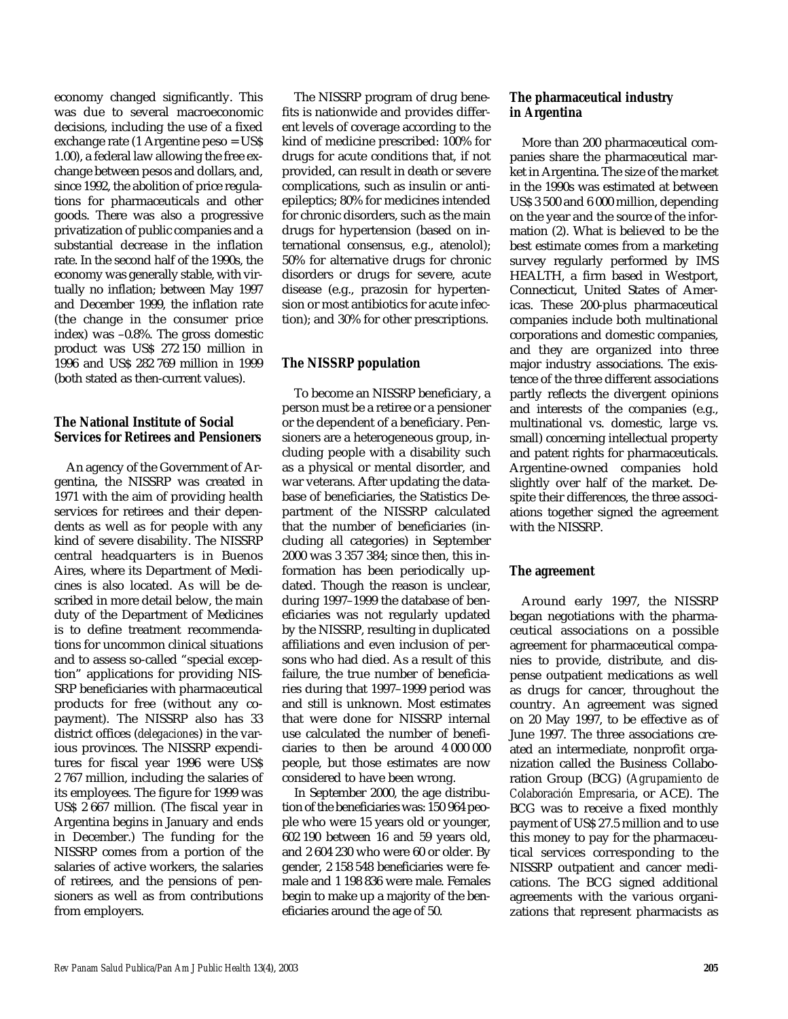economy changed significantly. This was due to several macroeconomic decisions, including the use of a fixed exchange rate (1 Argentine peso = US\$ 1.00), a federal law allowing the free exchange between pesos and dollars, and, since 1992, the abolition of price regulations for pharmaceuticals and other goods. There was also a progressive privatization of public companies and a substantial decrease in the inflation rate. In the second half of the 1990s, the economy was generally stable, with virtually no inflation; between May 1997 and December 1999, the inflation rate (the change in the consumer price index) was –0.8%. The gross domestic product was US\$ 272 150 million in 1996 and US\$ 282 769 million in 1999 (both stated as then-current values).

## **The National Institute of Social Services for Retirees and Pensioners**

An agency of the Government of Argentina, the NISSRP was created in 1971 with the aim of providing health services for retirees and their dependents as well as for people with any kind of severe disability. The NISSRP central headquarters is in Buenos Aires, where its Department of Medicines is also located. As will be described in more detail below, the main duty of the Department of Medicines is to define treatment recommendations for uncommon clinical situations and to assess so-called "special exception" applications for providing NIS-SRP beneficiaries with pharmaceutical products for free (without any copayment). The NISSRP also has 33 district offices (*delegaciones*) in the various provinces. The NISSRP expenditures for fiscal year 1996 were US\$ 2 767 million, including the salaries of its employees. The figure for 1999 was US\$ 2 667 million. (The fiscal year in Argentina begins in January and ends in December.) The funding for the NISSRP comes from a portion of the salaries of active workers, the salaries of retirees, and the pensions of pensioners as well as from contributions from employers.

The NISSRP program of drug benefits is nationwide and provides different levels of coverage according to the kind of medicine prescribed: 100% for drugs for acute conditions that, if not provided, can result in death or severe complications, such as insulin or antiepileptics; 80% for medicines intended for chronic disorders, such as the main drugs for hypertension (based on international consensus, e.g., atenolol); 50% for alternative drugs for chronic disorders or drugs for severe, acute disease (e.g., prazosin for hypertension or most antibiotics for acute infection); and 30% for other prescriptions.

# **The NISSRP population**

To become an NISSRP beneficiary, a person must be a retiree or a pensioner or the dependent of a beneficiary. Pensioners are a heterogeneous group, including people with a disability such as a physical or mental disorder, and war veterans. After updating the database of beneficiaries, the Statistics Department of the NISSRP calculated that the number of beneficiaries (including all categories) in September 2000 was 3 357 384; since then, this information has been periodically updated. Though the reason is unclear, during 1997–1999 the database of beneficiaries was not regularly updated by the NISSRP, resulting in duplicated affiliations and even inclusion of persons who had died. As a result of this failure, the true number of beneficiaries during that 1997–1999 period was and still is unknown. Most estimates that were done for NISSRP internal use calculated the number of beneficiaries to then be around 4 000 000 people, but those estimates are now considered to have been wrong.

In September 2000, the age distribution of the beneficiaries was: 150 964 people who were 15 years old or younger, 602 190 between 16 and 59 years old, and 2 604 230 who were 60 or older. By gender, 2 158 548 beneficiaries were female and 1 198 836 were male. Females begin to make up a majority of the beneficiaries around the age of 50.

#### **The pharmaceutical industry in Argentina**

More than 200 pharmaceutical companies share the pharmaceutical market in Argentina. The size of the market in the 1990s was estimated at between US\$ 3 500 and 6 000 million, depending on the year and the source of the information (2). What is believed to be the best estimate comes from a marketing survey regularly performed by IMS HEALTH, a firm based in Westport, Connecticut, United States of Americas. These 200-plus pharmaceutical companies include both multinational corporations and domestic companies, and they are organized into three major industry associations. The existence of the three different associations partly reflects the divergent opinions and interests of the companies (e.g., multinational vs. domestic, large vs. small) concerning intellectual property and patent rights for pharmaceuticals. Argentine-owned companies hold slightly over half of the market. Despite their differences, the three associations together signed the agreement with the NISSRP.

## **The agreement**

Around early 1997, the NISSRP began negotiations with the pharmaceutical associations on a possible agreement for pharmaceutical companies to provide, distribute, and dispense outpatient medications as well as drugs for cancer, throughout the country. An agreement was signed on 20 May 1997, to be effective as of June 1997. The three associations created an intermediate, nonprofit organization called the Business Collaboration Group (BCG) (*Agrupamiento de Colaboración Empresaria*, or ACE). The BCG was to receive a fixed monthly payment of US\$ 27.5 million and to use this money to pay for the pharmaceutical services corresponding to the NISSRP outpatient and cancer medications. The BCG signed additional agreements with the various organizations that represent pharmacists as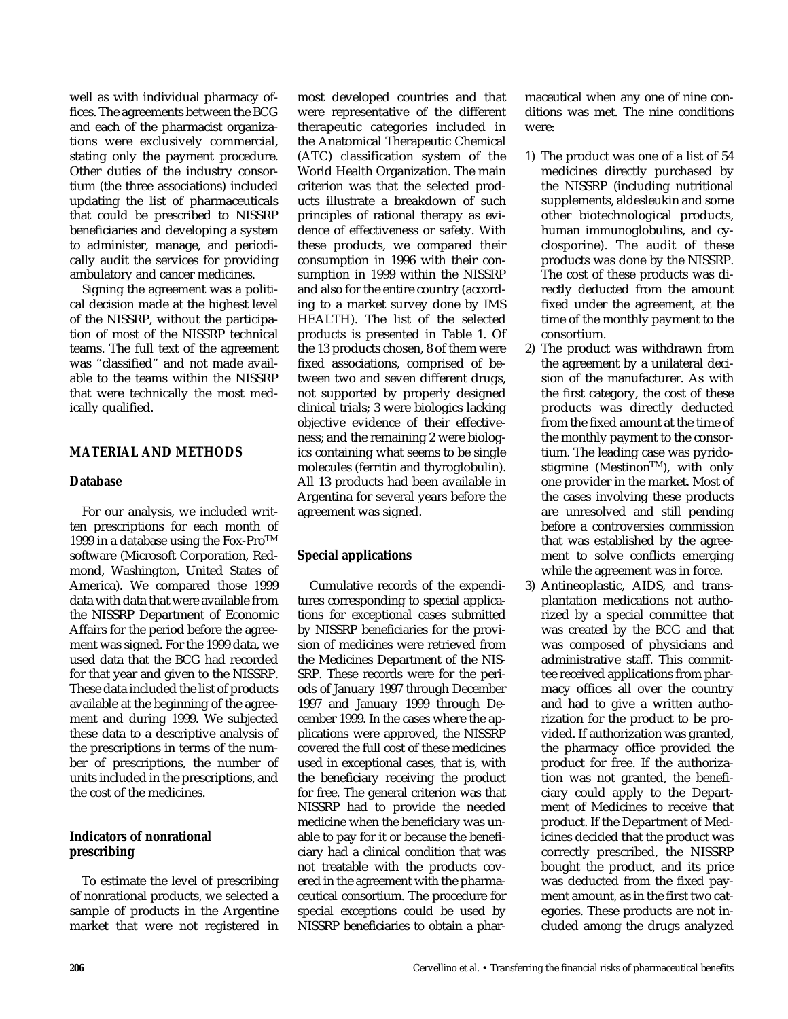well as with individual pharmacy offices. The agreements between the BCG and each of the pharmacist organizations were exclusively commercial, stating only the payment procedure. Other duties of the industry consortium (the three associations) included updating the list of pharmaceuticals that could be prescribed to NISSRP beneficiaries and developing a system to administer, manage, and periodically audit the services for providing ambulatory and cancer medicines.

Signing the agreement was a political decision made at the highest level of the NISSRP, without the participation of most of the NISSRP technical teams. The full text of the agreement was "classified" and not made available to the teams within the NISSRP that were technically the most medically qualified.

#### **MATERIAL AND METHODS**

#### **Database**

For our analysis, we included written prescriptions for each month of 1999 in a database using the Fox-Pro<sup>TM</sup> software (Microsoft Corporation, Redmond, Washington, United States of America). We compared those 1999 data with data that were available from the NISSRP Department of Economic Affairs for the period before the agreement was signed. For the 1999 data, we used data that the BCG had recorded for that year and given to the NISSRP. These data included the list of products available at the beginning of the agreement and during 1999. We subjected these data to a descriptive analysis of the prescriptions in terms of the number of prescriptions, the number of units included in the prescriptions, and the cost of the medicines.

## **Indicators of nonrational prescribing**

To estimate the level of prescribing of nonrational products, we selected a sample of products in the Argentine market that were not registered in most developed countries and that were representative of the different therapeutic categories included in the Anatomical Therapeutic Chemical (ATC) classification system of the World Health Organization. The main criterion was that the selected products illustrate a breakdown of such principles of rational therapy as evidence of effectiveness or safety. With these products, we compared their consumption in 1996 with their consumption in 1999 within the NISSRP and also for the entire country (according to a market survey done by IMS HEALTH). The list of the selected products is presented in Table 1. Of the 13 products chosen, 8 of them were fixed associations, comprised of between two and seven different drugs, not supported by properly designed clinical trials; 3 were biologics lacking objective evidence of their effectiveness; and the remaining 2 were biologics containing what seems to be single molecules (ferritin and thyroglobulin). All 13 products had been available in Argentina for several years before the agreement was signed.

## **Special applications**

Cumulative records of the expenditures corresponding to special applications for exceptional cases submitted by NISSRP beneficiaries for the provision of medicines were retrieved from the Medicines Department of the NIS-SRP. These records were for the periods of January 1997 through December 1997 and January 1999 through December 1999. In the cases where the applications were approved, the NISSRP covered the full cost of these medicines used in exceptional cases, that is, with the beneficiary receiving the product for free. The general criterion was that NISSRP had to provide the needed medicine when the beneficiary was unable to pay for it or because the beneficiary had a clinical condition that was not treatable with the products covered in the agreement with the pharmaceutical consortium. The procedure for special exceptions could be used by NISSRP beneficiaries to obtain a pharmaceutical when any one of nine conditions was met. The nine conditions were:

- 1) The product was one of a list of 54 medicines directly purchased by the NISSRP (including nutritional supplements, aldesleukin and some other biotechnological products, human immunoglobulins, and cyclosporine). The audit of these products was done by the NISSRP. The cost of these products was directly deducted from the amount fixed under the agreement, at the time of the monthly payment to the consortium.
- 2) The product was withdrawn from the agreement by a unilateral decision of the manufacturer. As with the first category, the cost of these products was directly deducted from the fixed amount at the time of the monthly payment to the consortium. The leading case was pyridostigmine (Mestinon<sup>TM</sup>), with only one provider in the market. Most of the cases involving these products are unresolved and still pending before a controversies commission that was established by the agreement to solve conflicts emerging while the agreement was in force.
- 3) Antineoplastic, AIDS, and transplantation medications not authorized by a special committee that was created by the BCG and that was composed of physicians and administrative staff. This committee received applications from pharmacy offices all over the country and had to give a written authorization for the product to be provided. If authorization was granted, the pharmacy office provided the product for free. If the authorization was not granted, the beneficiary could apply to the Department of Medicines to receive that product. If the Department of Medicines decided that the product was correctly prescribed, the NISSRP bought the product, and its price was deducted from the fixed payment amount, as in the first two categories. These products are not included among the drugs analyzed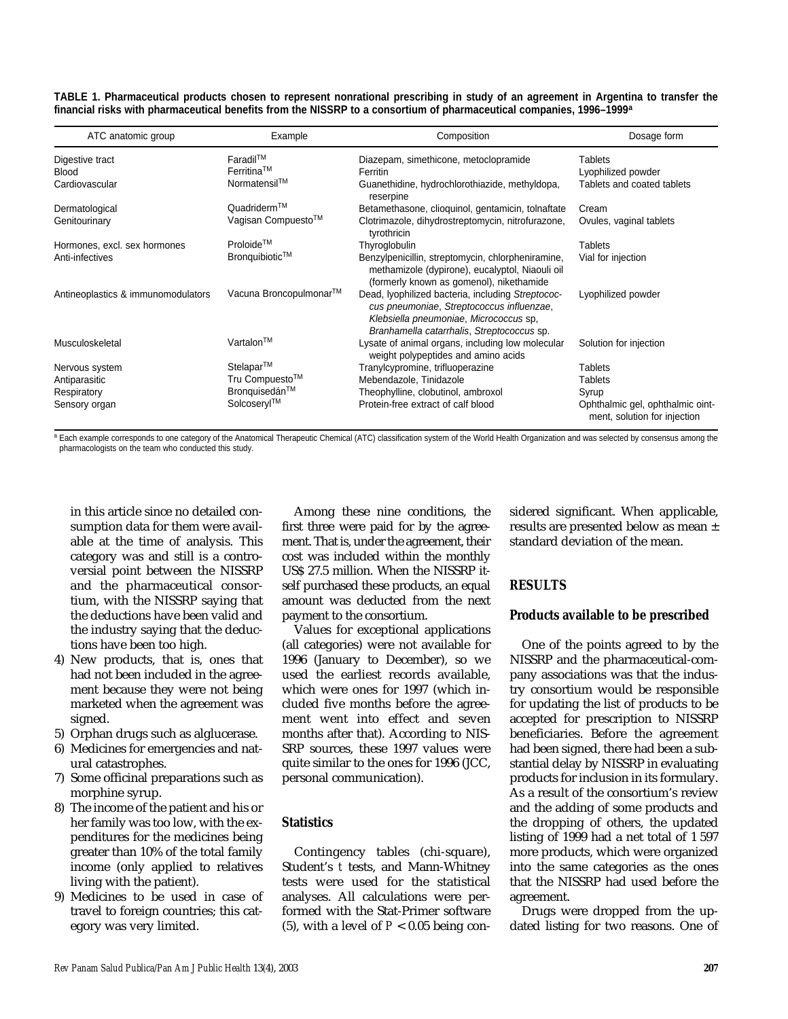|                                                                                                                                  |  |  | TABLE 1. Pharmaceutical products chosen to represent nonrational prescribing in study of an agreement in Argentina to transfer the |
|----------------------------------------------------------------------------------------------------------------------------------|--|--|------------------------------------------------------------------------------------------------------------------------------------|
| financial risks with pharmaceutical benefits from the NISSRP to a consortium of pharmaceutical companies, 1996–1999 <sup>a</sup> |  |  |                                                                                                                                    |

| ATC anatomic group                 | Example                | Composition                                                                                                                                                                            | Dosage form                                                      |
|------------------------------------|------------------------|----------------------------------------------------------------------------------------------------------------------------------------------------------------------------------------|------------------------------------------------------------------|
| Digestive tract                    | Faradil™               | Diazepam, simethicone, metoclopramide                                                                                                                                                  | <b>Tablets</b>                                                   |
| <b>Blood</b>                       | $Ferritina^{TM}$       | Ferritin                                                                                                                                                                               | Lyophilized powder                                               |
| Cardiovascular                     | Normatensil™           | Guanethidine, hydrochlorothiazide, methyldopa,<br>reserpine                                                                                                                            | Tablets and coated tablets                                       |
| Dermatological                     | Quadriderm™            | Betamethasone, clioquinol, gentamicin, tolnaftate                                                                                                                                      | Cream                                                            |
| Genitourinary                      | Vagisan Compuesto™     | Clotrimazole, dihydrostreptomycin, nitrofurazone,<br>tyrothricin                                                                                                                       | Ovules, vaginal tablets                                          |
| Hormones, excl. sex hormones       | Proloide <sup>TM</sup> | Thyroglobulin                                                                                                                                                                          | <b>Tablets</b>                                                   |
| Anti-infectives                    | Bronquibiotic™         | Benzylpenicillin, streptomycin, chlorpheniramine,<br>methamizole (dypirone), eucalyptol, Niaouli oil<br>(formerly known as gomenol), nikethamide                                       | Vial for injection                                               |
| Antineoplastics & immunomodulators | Vacuna Broncopulmonar™ | Dead, lyophilized bacteria, including Streptococ-<br>cus pneumoniae, Streptococcus influenzae,<br>Klebsiella pneumoniae, Micrococcus sp,<br>Branhamella catarrhalis, Streptococcus sp. | Lyophilized powder                                               |
| Musculoskeletal                    | Vartalon™              | Lysate of animal organs, including low molecular<br>weight polypeptides and amino acids                                                                                                | Solution for injection                                           |
| Nervous system                     | Stelapar™              | Tranylcypromine, trifluoperazine                                                                                                                                                       | <b>Tablets</b>                                                   |
| Antiparasitic                      | Tru Compuesto™         | Mebendazole, Tinidazole                                                                                                                                                                | <b>Tablets</b>                                                   |
| Respiratory                        | Bronquisedán™          | Theophylline, clobutinol, ambroxol                                                                                                                                                     | Syrup                                                            |
| Sensory organ                      | Solcoseryl™            | Protein-free extract of calf blood                                                                                                                                                     | Ophthalmic gel, ophthalmic oint-<br>ment, solution for injection |

a Each example corresponds to one category of the Anatomical Therapeutic Chemical (ATC) classification system of the World Health Organization and was selected by consensus among the pharmacologists on the team who conducted this study.

in this article since no detailed consumption data for them were available at the time of analysis. This category was and still is a controversial point between the NISSRP and the pharmaceutical consortium, with the NISSRP saying that the deductions have been valid and the industry saying that the deductions have been too high.

- 4) New products, that is, ones that had not been included in the agreement because they were not being marketed when the agreement was signed.
- 5) Orphan drugs such as alglucerase.
- 6) Medicines for emergencies and natural catastrophes.
- 7) Some officinal preparations such as morphine syrup.
- 8) The income of the patient and his or her family was too low, with the expenditures for the medicines being greater than 10% of the total family income (only applied to relatives living with the patient).
- 9) Medicines to be used in case of travel to foreign countries; this category was very limited.

Among these nine conditions, the first three were paid for by the agreement. That is, under the agreement, their cost was included within the monthly US\$ 27.5 million. When the NISSRP itself purchased these products, an equal amount was deducted from the next payment to the consortium.

Values for exceptional applications (all categories) were not available for 1996 (January to December), so we used the earliest records available, which were ones for 1997 (which included five months before the agreement went into effect and seven months after that). According to NIS-SRP sources, these 1997 values were quite similar to the ones for 1996 (JCC, personal communication).

## **Statistics**

Contingency tables (chi-square), Student's *t* tests, and Mann-Whitney tests were used for the statistical analyses. All calculations were performed with the Stat-Primer software (5), with a level of  $P < 0.05$  being considered significant. When applicable, results are presented below as mean ± standard deviation of the mean.

## **RESULTS**

## **Products available to be prescribed**

One of the points agreed to by the NISSRP and the pharmaceutical-company associations was that the industry consortium would be responsible for updating the list of products to be accepted for prescription to NISSRP beneficiaries. Before the agreement had been signed, there had been a substantial delay by NISSRP in evaluating products for inclusion in its formulary. As a result of the consortium's review and the adding of some products and the dropping of others, the updated listing of 1999 had a net total of 1 597 more products, which were organized into the same categories as the ones that the NISSRP had used before the agreement.

Drugs were dropped from the updated listing for two reasons. One of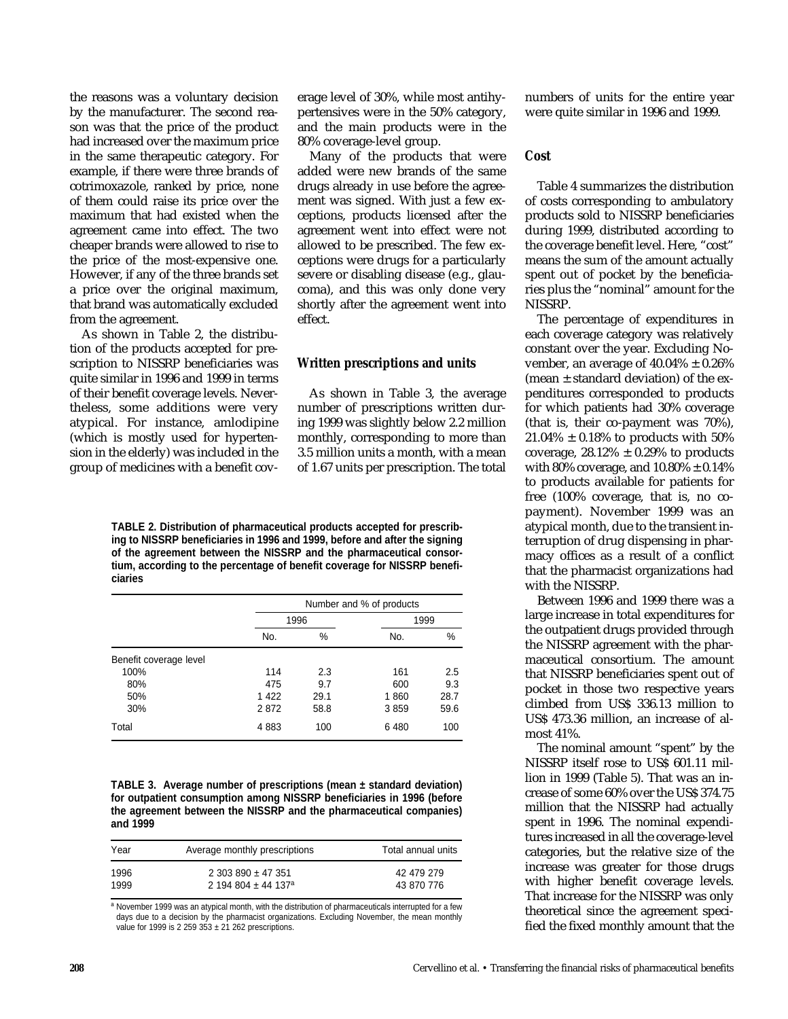the reasons was a voluntary decision by the manufacturer. The second reason was that the price of the product had increased over the maximum price in the same therapeutic category. For example, if there were three brands of cotrimoxazole, ranked by price, none of them could raise its price over the maximum that had existed when the agreement came into effect. The two cheaper brands were allowed to rise to the price of the most-expensive one. However, if any of the three brands set a price over the original maximum, that brand was automatically excluded from the agreement.

As shown in Table 2, the distribution of the products accepted for prescription to NISSRP beneficiaries was quite similar in 1996 and 1999 in terms of their benefit coverage levels. Nevertheless, some additions were very atypical. For instance, amlodipine (which is mostly used for hypertension in the elderly) was included in the group of medicines with a benefit coverage level of 30%, while most antihypertensives were in the 50% category, and the main products were in the 80% coverage-level group.

Many of the products that were added were new brands of the same drugs already in use before the agreement was signed. With just a few exceptions, products licensed after the agreement went into effect were not allowed to be prescribed. The few exceptions were drugs for a particularly severe or disabling disease (e.g., glaucoma), and this was only done very shortly after the agreement went into effect.

#### **Written prescriptions and units**

As shown in Table 3, the average number of prescriptions written during 1999 was slightly below 2.2 million monthly, corresponding to more than 3.5 million units a month, with a mean of 1.67 units per prescription. The total

**TABLE 2. Distribution of pharmaceutical products accepted for prescribing to NISSRP beneficiaries in 1996 and 1999, before and after the signing of the agreement between the NISSRP and the pharmaceutical consortium, according to the percentage of benefit coverage for NISSRP beneficiaries** 

|                        | Number and % of products |      |      |      |
|------------------------|--------------------------|------|------|------|
|                        | 1996                     |      | 1999 |      |
|                        | No.                      | %    | No.  | %    |
| Benefit coverage level |                          |      |      |      |
| 100%                   | 114                      | 2.3  | 161  | 2.5  |
| 80%                    | 475                      | 9.7  | 600  | 9.3  |
| 50%                    | 1422                     | 29.1 | 1860 | 28.7 |
| 30%                    | 2872                     | 58.8 | 3859 | 59.6 |
| Total                  | 4883                     | 100  | 6480 | 100  |

**TABLE 3. Average number of prescriptions (mean ± standard deviation) for outpatient consumption among NISSRP beneficiaries in 1996 (before the agreement between the NISSRP and the pharmaceutical companies) and 1999** 

| Year | Average monthly prescriptions   | Total annual units |
|------|---------------------------------|--------------------|
| 1996 | $2.303.890 \pm 47.351$          | 42 479 279         |
| 1999 | 2 194 804 ± 44 137 <sup>a</sup> | 43 870 776         |

a November 1999 was an atypical month, with the distribution of pharmaceuticals interrupted for a few days due to a decision by the pharmacist organizations. Excluding November, the mean monthly value for 1999 is 2 259  $353 \pm 21$  262 prescriptions.

numbers of units for the entire year were quite similar in 1996 and 1999.

## **Cost**

Table 4 summarizes the distribution of costs corresponding to ambulatory products sold to NISSRP beneficiaries during 1999, distributed according to the coverage benefit level. Here, "cost" means the sum of the amount actually spent out of pocket by the beneficiaries plus the "nominal" amount for the NISSRP.

The percentage of expenditures in each coverage category was relatively constant over the year. Excluding November, an average of  $40.04\% \pm 0.26\%$ (mean  $\pm$  standard deviation) of the expenditures corresponded to products for which patients had 30% coverage (that is, their co-payment was 70%),  $21.04\% \pm 0.18\%$  to products with 50% coverage,  $28.12\% \pm 0.29\%$  to products with 80% coverage, and  $10.80\% \pm 0.14\%$ to products available for patients for free (100% coverage, that is, no copayment). November 1999 was an atypical month, due to the transient interruption of drug dispensing in pharmacy offices as a result of a conflict that the pharmacist organizations had with the NISSRP.

Between 1996 and 1999 there was a large increase in total expenditures for the outpatient drugs provided through the NISSRP agreement with the pharmaceutical consortium. The amount that NISSRP beneficiaries spent out of pocket in those two respective years climbed from US\$ 336.13 million to US\$ 473.36 million, an increase of almost 41%.

The nominal amount "spent" by the NISSRP itself rose to US\$ 601.11 million in 1999 (Table 5). That was an increase of some 60% over the US\$ 374.75 million that the NISSRP had actually spent in 1996. The nominal expenditures increased in all the coverage-level categories, but the relative size of the increase was greater for those drugs with higher benefit coverage levels. That increase for the NISSRP was only theoretical since the agreement specified the fixed monthly amount that the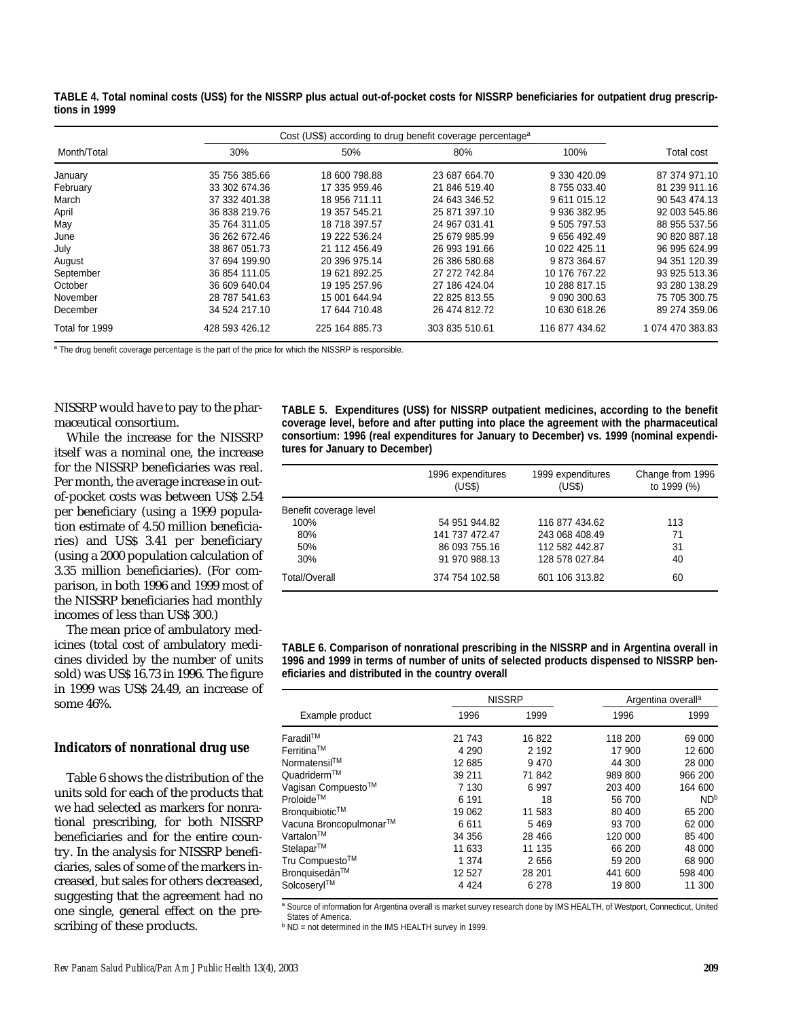**TABLE 4. Total nominal costs (US\$) for the NISSRP plus actual out-of-pocket costs for NISSRP beneficiaries for outpatient drug prescriptions in 1999** 

|                | Cost (US\$) according to drug benefit coverage percentage <sup>a</sup> |                |                |                |                  |
|----------------|------------------------------------------------------------------------|----------------|----------------|----------------|------------------|
| Month/Total    | 30%                                                                    | 50%            | 80%            | 100%           | Total cost       |
| January        | 35 756 385.66                                                          | 18 600 798.88  | 23 687 664.70  | 9 330 420.09   | 87 374 971.10    |
| February       | 33 302 674.36                                                          | 17 335 959.46  | 21 846 519.40  | 8 755 033.40   | 81 239 911.16    |
| March          | 37 332 401.38                                                          | 18 956 711.11  | 24 643 346.52  | 9 611 015.12   | 90 543 474.13    |
| April          | 36 838 219.76                                                          | 19 357 545.21  | 25 871 397.10  | 9 936 382.95   | 92 003 545.86    |
| May            | 35 764 311.05                                                          | 18 718 397.57  | 24 967 031.41  | 9 505 797.53   | 88 955 537.56    |
| June           | 36 262 672.46                                                          | 19 222 536.24  | 25 679 985.99  | 9 656 492.49   | 90 820 887.18    |
| July           | 38 867 051.73                                                          | 21 112 456.49  | 26 993 191.66  | 10 022 425.11  | 96 995 624.99    |
| August         | 37 694 199.90                                                          | 20 396 975.14  | 26 386 580.68  | 9 873 364.67   | 94 351 120.39    |
| September      | 36 854 111.05                                                          | 19 621 892.25  | 27 272 742.84  | 10 176 767.22  | 93 925 513.36    |
| October        | 36 609 640.04                                                          | 19 195 257.96  | 27 186 424.04  | 10 288 817.15  | 93 280 138.29    |
| November       | 28 787 541.63                                                          | 15 001 644.94  | 22 825 813.55  | 9 090 300.63   | 75 705 300.75    |
| December       | 34 524 217.10                                                          | 17 644 710.48  | 26 474 812.72  | 10 630 618.26  | 89 274 359.06    |
| Total for 1999 | 428 593 426.12                                                         | 225 164 885.73 | 303 835 510.61 | 116 877 434.62 | 1 074 470 383.83 |

<sup>a</sup> The drug benefit coverage percentage is the part of the price for which the NISSRP is responsible.

NISSRP would have to pay to the pharmaceutical consortium.

While the increase for the NISSRP itself was a nominal one, the increase for the NISSRP beneficiaries was real. Per month, the average increase in outof-pocket costs was between US\$ 2.54 per beneficiary (using a 1999 population estimate of 4.50 million beneficiaries) and US\$ 3.41 per beneficiary (using a 2000 population calculation of 3.35 million beneficiaries). (For comparison, in both 1996 and 1999 most of the NISSRP beneficiaries had monthly incomes of less than US\$ 300.)

The mean price of ambulatory medicines (total cost of ambulatory medicines divided by the number of units sold) was US\$ 16.73 in 1996. The figure in 1999 was US\$ 24.49, an increase of some 46%.

#### **Indicators of nonrational drug use**

Table 6 shows the distribution of the units sold for each of the products that we had selected as markers for nonrational prescribing, for both NISSRP beneficiaries and for the entire country. In the analysis for NISSRP beneficiaries, sales of some of the markers increased, but sales for others decreased, suggesting that the agreement had no one single, general effect on the prescribing of these products.

**TABLE 5. Expenditures (US\$) for NISSRP outpatient medicines, according to the benefit coverage level, before and after putting into place the agreement with the pharmaceutical consortium: 1996 (real expenditures for January to December) vs. 1999 (nominal expenditures for January to December)**

|                        | 1996 expenditures<br>(US\$) | 1999 expenditures<br>(US\$) | Change from 1996<br>to 1999 (%) |
|------------------------|-----------------------------|-----------------------------|---------------------------------|
| Benefit coverage level |                             |                             |                                 |
| 100%                   | 54 951 944.82               | 116 877 434.62              | 113                             |
| 80%                    | 141 737 472.47              | 243 068 408.49              | 71                              |
| 50%                    | 86 093 755.16               | 112 582 442.87              | 31                              |
| 30%                    | 91 970 988.13               | 128 578 027.84              | 40                              |
| <b>Total/Overall</b>   | 374 754 102.58              | 601 106 313.82              | 60                              |

**TABLE 6. Comparison of nonrational prescribing in the NISSRP and in Argentina overall in 1996 and 1999 in terms of number of units of selected products dispensed to NISSRP beneficiaries and distributed in the country overall**

|                         | <b>NISSRP</b> |         | Argentina overall <sup>a</sup> |                 |
|-------------------------|---------------|---------|--------------------------------|-----------------|
| Example product         | 1996          | 1999    | 1996                           | 1999            |
| Faradil™                | 21 743        | 16822   | 118 200                        | 69 000          |
| Ferritina <sup>TM</sup> | 4 2 9 0       | 2 1 9 2 | 17 900                         | 12 600          |
| Normatensil™            | 12 685        | 9470    | 44 300                         | 28 000          |
| Quadriderm™             | 39 211        | 71842   | 989 800                        | 966 200         |
| Vagisan Compuesto™      | 7 130         | 6 9 9 7 | 203 400                        | 164 600         |
| Proloide™               | 6 191         | 18      | 56 700                         | ND <sup>b</sup> |
| Bronquibiotic™          | 19 062        | 11 583  | 80 400                         | 65 200          |
| Vacuna Broncopulmonar™  | 6611          | 5469    | 93 700                         | 62 000          |
| Vartalon™               | 34 356        | 28 4 66 | 120 000                        | 85 400          |
| Stelapar™               | 11 633        | 11 135  | 66 200                         | 48 000          |
| Tru Compuesto™          | 1 3 7 4       | 2656    | 59 200                         | 68 900          |
| Bronquisedán™           | 12 5 27       | 28 201  | 441 600                        | 598 400         |
| Solcoseryl™             | 4 4 2 4       | 6 2 7 8 | 19800                          | 11 300          |

a Source of information for Argentina overall is market survey research done by IMS HEALTH, of Westport, Connecticut, United States of America.

b ND = not determined in the IMS HEALTH survey in 1999.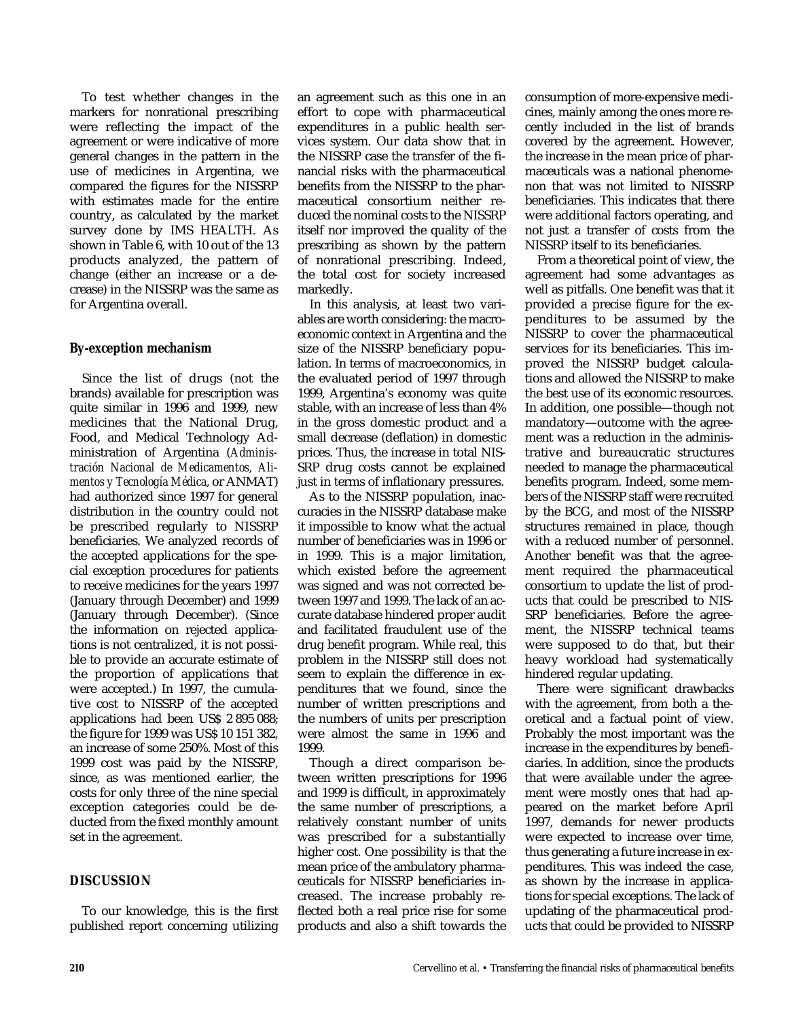To test whether changes in the markers for nonrational prescribing were reflecting the impact of the agreement or were indicative of more general changes in the pattern in the use of medicines in Argentina, we compared the figures for the NISSRP with estimates made for the entire country, as calculated by the market survey done by IMS HEALTH. As shown in Table 6, with 10 out of the 13 products analyzed, the pattern of change (either an increase or a decrease) in the NISSRP was the same as for Argentina overall.

# **By-exception mechanism**

Since the list of drugs (not the brands) available for prescription was quite similar in 1996 and 1999, new medicines that the National Drug, Food, and Medical Technology Administration of Argentina (*Administración Nacional de Medicamentos, Alimentos y Tecnología Médica*, or ANMAT) had authorized since 1997 for general distribution in the country could not be prescribed regularly to NISSRP beneficiaries. We analyzed records of the accepted applications for the special exception procedures for patients to receive medicines for the years 1997 (January through December) and 1999 (January through December). (Since the information on rejected applications is not centralized, it is not possible to provide an accurate estimate of the proportion of applications that were accepted.) In 1997, the cumulative cost to NISSRP of the accepted applications had been US\$ 2 895 088; the figure for 1999 was US\$ 10 151 382, an increase of some 250%. Most of this 1999 cost was paid by the NISSRP, since, as was mentioned earlier, the costs for only three of the nine special exception categories could be deducted from the fixed monthly amount set in the agreement.

## **DISCUSSION**

To our knowledge, this is the first published report concerning utilizing an agreement such as this one in an effort to cope with pharmaceutical expenditures in a public health services system. Our data show that in the NISSRP case the transfer of the financial risks with the pharmaceutical benefits from the NISSRP to the pharmaceutical consortium neither reduced the nominal costs to the NISSRP itself nor improved the quality of the prescribing as shown by the pattern of nonrational prescribing. Indeed, the total cost for society increased markedly.

In this analysis, at least two variables are worth considering: the macroeconomic context in Argentina and the size of the NISSRP beneficiary population. In terms of macroeconomics, in the evaluated period of 1997 through 1999, Argentina's economy was quite stable, with an increase of less than 4% in the gross domestic product and a small decrease (deflation) in domestic prices. Thus, the increase in total NIS-SRP drug costs cannot be explained just in terms of inflationary pressures.

As to the NISSRP population, inaccuracies in the NISSRP database make it impossible to know what the actual number of beneficiaries was in 1996 or in 1999. This is a major limitation, which existed before the agreement was signed and was not corrected between 1997 and 1999. The lack of an accurate database hindered proper audit and facilitated fraudulent use of the drug benefit program. While real, this problem in the NISSRP still does not seem to explain the difference in expenditures that we found, since the number of written prescriptions and the numbers of units per prescription were almost the same in 1996 and 1999.

Though a direct comparison between written prescriptions for 1996 and 1999 is difficult, in approximately the same number of prescriptions, a relatively constant number of units was prescribed for a substantially higher cost. One possibility is that the mean price of the ambulatory pharmaceuticals for NISSRP beneficiaries increased. The increase probably reflected both a real price rise for some products and also a shift towards the

consumption of more-expensive medicines, mainly among the ones more recently included in the list of brands covered by the agreement. However, the increase in the mean price of pharmaceuticals was a national phenomenon that was not limited to NISSRP beneficiaries. This indicates that there were additional factors operating, and not just a transfer of costs from the NISSRP itself to its beneficiaries.

From a theoretical point of view, the agreement had some advantages as well as pitfalls. One benefit was that it provided a precise figure for the expenditures to be assumed by the NISSRP to cover the pharmaceutical services for its beneficiaries. This improved the NISSRP budget calculations and allowed the NISSRP to make the best use of its economic resources. In addition, one possible—though not mandatory—outcome with the agreement was a reduction in the administrative and bureaucratic structures needed to manage the pharmaceutical benefits program. Indeed, some members of the NISSRP staff were recruited by the BCG, and most of the NISSRP structures remained in place, though with a reduced number of personnel. Another benefit was that the agreement required the pharmaceutical consortium to update the list of products that could be prescribed to NIS-SRP beneficiaries. Before the agreement, the NISSRP technical teams were supposed to do that, but their heavy workload had systematically hindered regular updating.

There were significant drawbacks with the agreement, from both a theoretical and a factual point of view. Probably the most important was the increase in the expenditures by beneficiaries. In addition, since the products that were available under the agreement were mostly ones that had appeared on the market before April 1997, demands for newer products were expected to increase over time, thus generating a future increase in expenditures. This was indeed the case, as shown by the increase in applications for special exceptions. The lack of updating of the pharmaceutical products that could be provided to NISSRP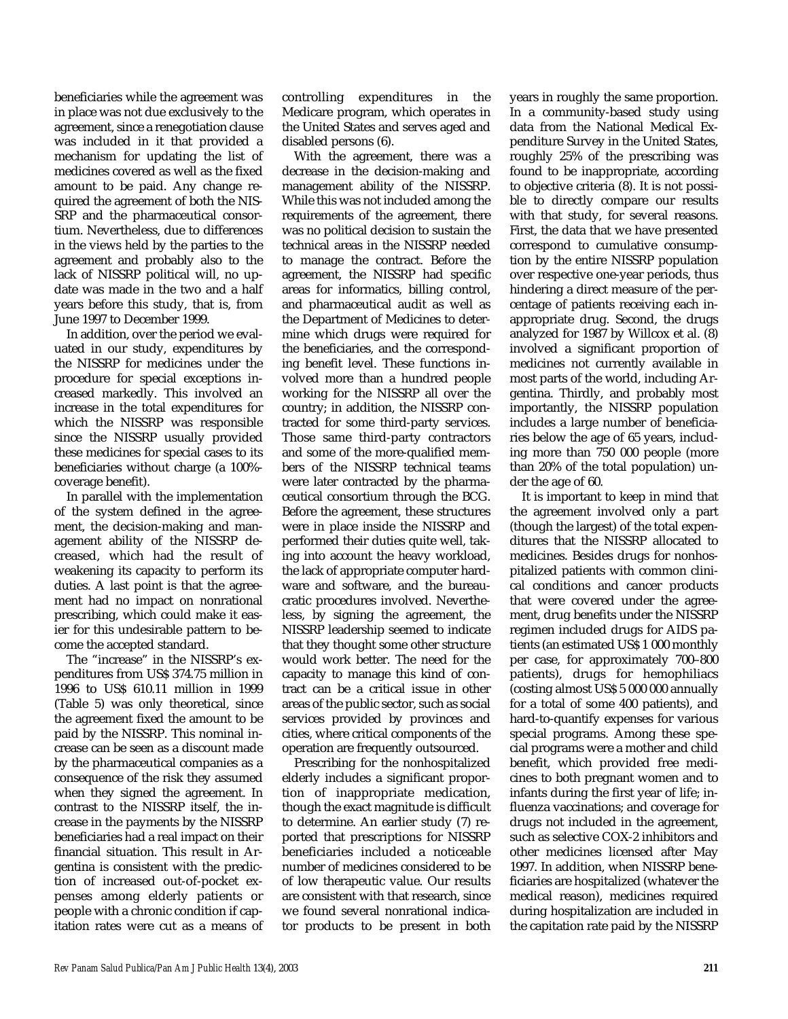beneficiaries while the agreement was in place was not due exclusively to the agreement, since a renegotiation clause was included in it that provided a mechanism for updating the list of medicines covered as well as the fixed amount to be paid. Any change required the agreement of both the NIS-SRP and the pharmaceutical consortium. Nevertheless, due to differences in the views held by the parties to the agreement and probably also to the lack of NISSRP political will, no update was made in the two and a half years before this study, that is, from June 1997 to December 1999.

In addition, over the period we evaluated in our study, expenditures by the NISSRP for medicines under the procedure for special exceptions increased markedly. This involved an increase in the total expenditures for which the NISSRP was responsible since the NISSRP usually provided these medicines for special cases to its beneficiaries without charge (a 100% coverage benefit).

In parallel with the implementation of the system defined in the agreement, the decision-making and management ability of the NISSRP decreased, which had the result of weakening its capacity to perform its duties. A last point is that the agreement had no impact on nonrational prescribing, which could make it easier for this undesirable pattern to become the accepted standard.

The "increase" in the NISSRP's expenditures from US\$ 374.75 million in 1996 to US\$ 610.11 million in 1999 (Table 5) was only theoretical, since the agreement fixed the amount to be paid by the NISSRP. This nominal increase can be seen as a discount made by the pharmaceutical companies as a consequence of the risk they assumed when they signed the agreement. In contrast to the NISSRP itself, the increase in the payments by the NISSRP beneficiaries had a real impact on their financial situation. This result in Argentina is consistent with the prediction of increased out-of-pocket expenses among elderly patients or people with a chronic condition if capitation rates were cut as a means of

controlling expenditures in the Medicare program, which operates in the United States and serves aged and disabled persons (6).

With the agreement, there was a decrease in the decision-making and management ability of the NISSRP. While this was not included among the requirements of the agreement, there was no political decision to sustain the technical areas in the NISSRP needed to manage the contract. Before the agreement, the NISSRP had specific areas for informatics, billing control, and pharmaceutical audit as well as the Department of Medicines to determine which drugs were required for the beneficiaries, and the corresponding benefit level. These functions involved more than a hundred people working for the NISSRP all over the country; in addition, the NISSRP contracted for some third-party services. Those same third-party contractors and some of the more-qualified members of the NISSRP technical teams were later contracted by the pharmaceutical consortium through the BCG. Before the agreement, these structures were in place inside the NISSRP and performed their duties quite well, taking into account the heavy workload, the lack of appropriate computer hardware and software, and the bureaucratic procedures involved. Nevertheless, by signing the agreement, the NISSRP leadership seemed to indicate that they thought some other structure would work better. The need for the capacity to manage this kind of contract can be a critical issue in other areas of the public sector, such as social services provided by provinces and cities, where critical components of the operation are frequently outsourced.

Prescribing for the nonhospitalized elderly includes a significant proportion of inappropriate medication, though the exact magnitude is difficult to determine. An earlier study (7) reported that prescriptions for NISSRP beneficiaries included a noticeable number of medicines considered to be of low therapeutic value. Our results are consistent with that research, since we found several nonrational indicator products to be present in both

years in roughly the same proportion. In a community-based study using data from the National Medical Expenditure Survey in the United States, roughly 25% of the prescribing was found to be inappropriate, according to objective criteria (8). It is not possible to directly compare our results with that study, for several reasons. First, the data that we have presented correspond to cumulative consumption by the entire NISSRP population over respective one-year periods, thus hindering a direct measure of the percentage of patients receiving each inappropriate drug. Second, the drugs analyzed for 1987 by Willcox et al. (8) involved a significant proportion of medicines not currently available in most parts of the world, including Argentina. Thirdly, and probably most importantly, the NISSRP population includes a large number of beneficiaries below the age of 65 years, including more than 750 000 people (more than 20% of the total population) under the age of 60.

It is important to keep in mind that the agreement involved only a part (though the largest) of the total expenditures that the NISSRP allocated to medicines. Besides drugs for nonhospitalized patients with common clinical conditions and cancer products that were covered under the agreement, drug benefits under the NISSRP regimen included drugs for AIDS patients (an estimated US\$ 1 000 monthly per case, for approximately 700–800 patients), drugs for hemophiliacs (costing almost US\$ 5 000 000 annually for a total of some 400 patients), and hard-to-quantify expenses for various special programs. Among these special programs were a mother and child benefit, which provided free medicines to both pregnant women and to infants during the first year of life; influenza vaccinations; and coverage for drugs not included in the agreement, such as selective COX-2 inhibitors and other medicines licensed after May 1997. In addition, when NISSRP beneficiaries are hospitalized (whatever the medical reason), medicines required during hospitalization are included in the capitation rate paid by the NISSRP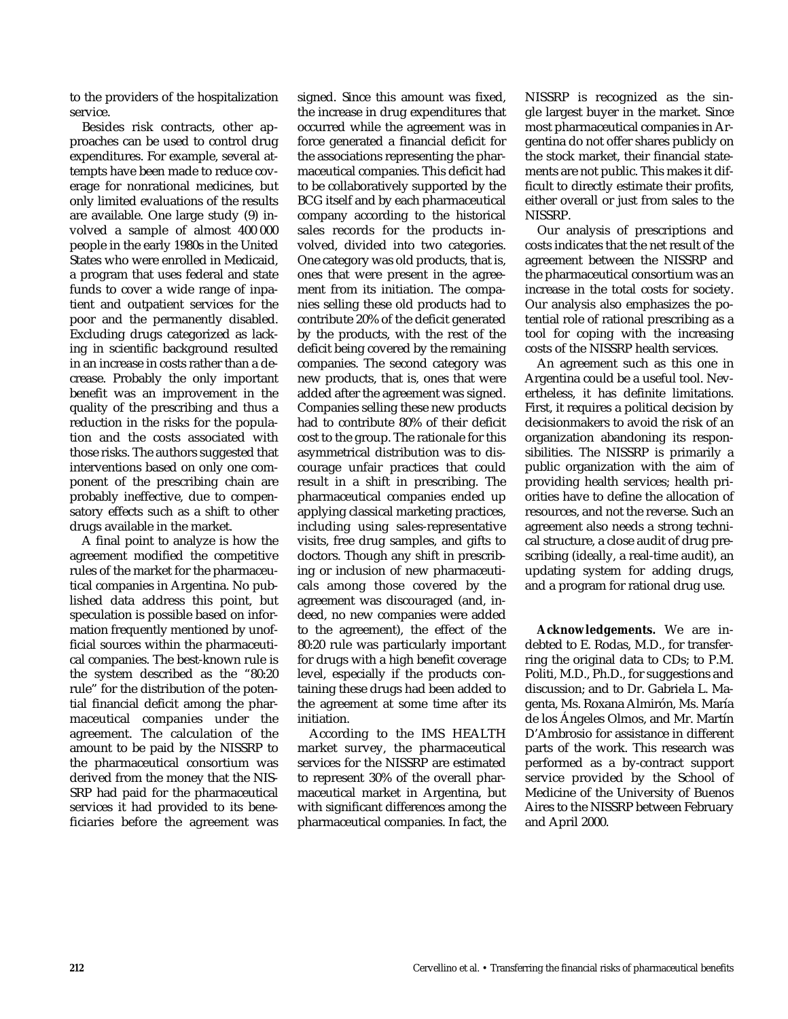to the providers of the hospitalization service.

Besides risk contracts, other approaches can be used to control drug expenditures. For example, several attempts have been made to reduce coverage for nonrational medicines, but only limited evaluations of the results are available. One large study (9) involved a sample of almost 400 000 people in the early 1980s in the United States who were enrolled in Medicaid, a program that uses federal and state funds to cover a wide range of inpatient and outpatient services for the poor and the permanently disabled. Excluding drugs categorized as lacking in scientific background resulted in an increase in costs rather than a decrease. Probably the only important benefit was an improvement in the quality of the prescribing and thus a reduction in the risks for the population and the costs associated with those risks. The authors suggested that interventions based on only one component of the prescribing chain are probably ineffective, due to compensatory effects such as a shift to other drugs available in the market.

A final point to analyze is how the agreement modified the competitive rules of the market for the pharmaceutical companies in Argentina. No published data address this point, but speculation is possible based on information frequently mentioned by unofficial sources within the pharmaceutical companies. The best-known rule is the system described as the "80:20 rule" for the distribution of the potential financial deficit among the pharmaceutical companies under the agreement. The calculation of the amount to be paid by the NISSRP to the pharmaceutical consortium was derived from the money that the NIS-SRP had paid for the pharmaceutical services it had provided to its beneficiaries before the agreement was signed. Since this amount was fixed, the increase in drug expenditures that occurred while the agreement was in force generated a financial deficit for the associations representing the pharmaceutical companies. This deficit had to be collaboratively supported by the BCG itself and by each pharmaceutical company according to the historical sales records for the products involved, divided into two categories. One category was old products, that is, ones that were present in the agreement from its initiation. The companies selling these old products had to contribute 20% of the deficit generated by the products, with the rest of the deficit being covered by the remaining companies. The second category was new products, that is, ones that were added after the agreement was signed. Companies selling these new products had to contribute 80% of their deficit cost to the group. The rationale for this asymmetrical distribution was to discourage unfair practices that could result in a shift in prescribing. The pharmaceutical companies ended up applying classical marketing practices, including using sales-representative visits, free drug samples, and gifts to doctors. Though any shift in prescribing or inclusion of new pharmaceuticals among those covered by the agreement was discouraged (and, indeed, no new companies were added to the agreement), the effect of the 80:20 rule was particularly important for drugs with a high benefit coverage level, especially if the products containing these drugs had been added to the agreement at some time after its initiation.

According to the IMS HEALTH market survey, the pharmaceutical services for the NISSRP are estimated to represent 30% of the overall pharmaceutical market in Argentina, but with significant differences among the pharmaceutical companies. In fact, the

NISSRP is recognized as the single largest buyer in the market. Since most pharmaceutical companies in Argentina do not offer shares publicly on the stock market, their financial statements are not public. This makes it difficult to directly estimate their profits, either overall or just from sales to the NISSRP.

Our analysis of prescriptions and costs indicates that the net result of the agreement between the NISSRP and the pharmaceutical consortium was an increase in the total costs for society. Our analysis also emphasizes the potential role of rational prescribing as a tool for coping with the increasing costs of the NISSRP health services.

An agreement such as this one in Argentina could be a useful tool. Nevertheless, it has definite limitations. First, it requires a political decision by decisionmakers to avoid the risk of an organization abandoning its responsibilities. The NISSRP is primarily a public organization with the aim of providing health services; health priorities have to define the allocation of resources, and not the reverse. Such an agreement also needs a strong technical structure, a close audit of drug prescribing (ideally, a real-time audit), an updating system for adding drugs, and a program for rational drug use.

**Acknowledgements.** We are indebted to E. Rodas, M.D., for transferring the original data to CDs; to P.M. Politi, M.D., Ph.D., for suggestions and discussion; and to Dr. Gabriela L. Magenta, Ms. Roxana Almirón, Ms. María de los Ángeles Olmos, and Mr. Martín D'Ambrosio for assistance in different parts of the work. This research was performed as a by-contract support service provided by the School of Medicine of the University of Buenos Aires to the NISSRP between February and April 2000.